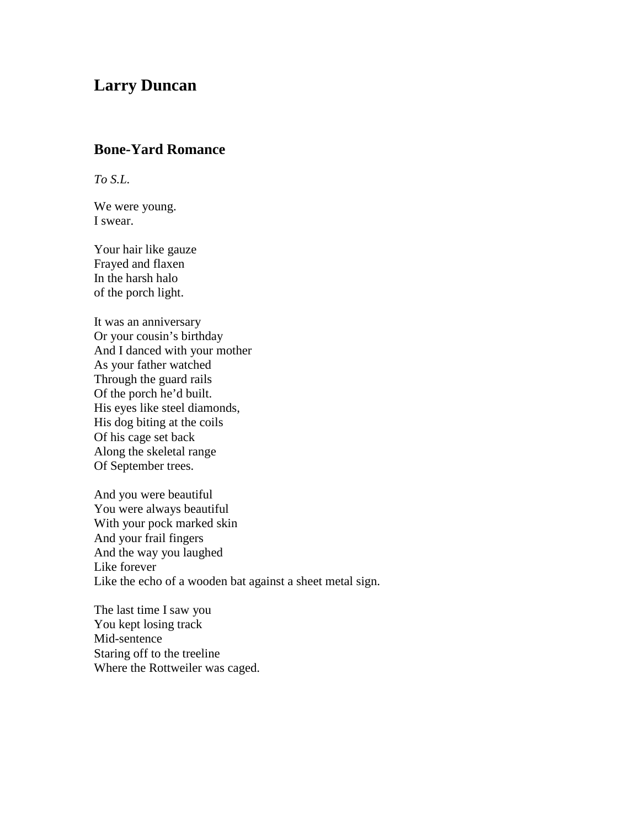## **Larry Duncan**

## **Bone-Yard Romance**

*To S.L.*

We were young. I swear.

Your hair like gauze Frayed and flaxen In the harsh halo of the porch light.

It was an anniversary Or your cousin's birthday And I danced with your mother As your father watched Through the guard rails Of the porch he'd built. His eyes like steel diamonds, His dog biting at the coils Of his cage set back Along the skeletal range Of September trees.

And you were beautiful You were always beautiful With your pock marked skin And your frail fingers And the way you laughed Like forever Like the echo of a wooden bat against a sheet metal sign.

The last time I saw you You kept losing track Mid-sentence Staring off to the treeline Where the Rottweiler was caged.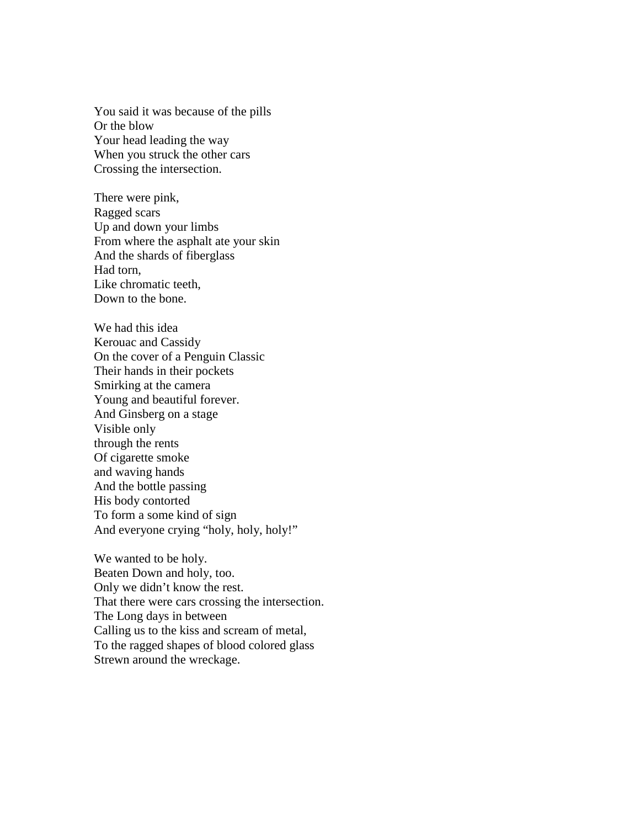You said it was because of the pills Or the blow Your head leading the way When you struck the other cars Crossing the intersection.

There were pink, Ragged scars Up and down your limbs From where the asphalt ate your skin And the shards of fiberglass Had torn, Like chromatic teeth, Down to the bone.

We had this idea Kerouac and Cassidy On the cover of a Penguin Classic Their hands in their pockets Smirking at the camera Young and beautiful forever. And Ginsberg on a stage Visible only through the rents Of cigarette smoke and waving hands And the bottle passing His body contorted To form a some kind of sign And everyone crying "holy, holy, holy!"

We wanted to be holy. Beaten Down and holy, too. Only we didn't know the rest. That there were cars crossing the intersection. The Long days in between Calling us to the kiss and scream of metal, To the ragged shapes of blood colored glass Strewn around the wreckage.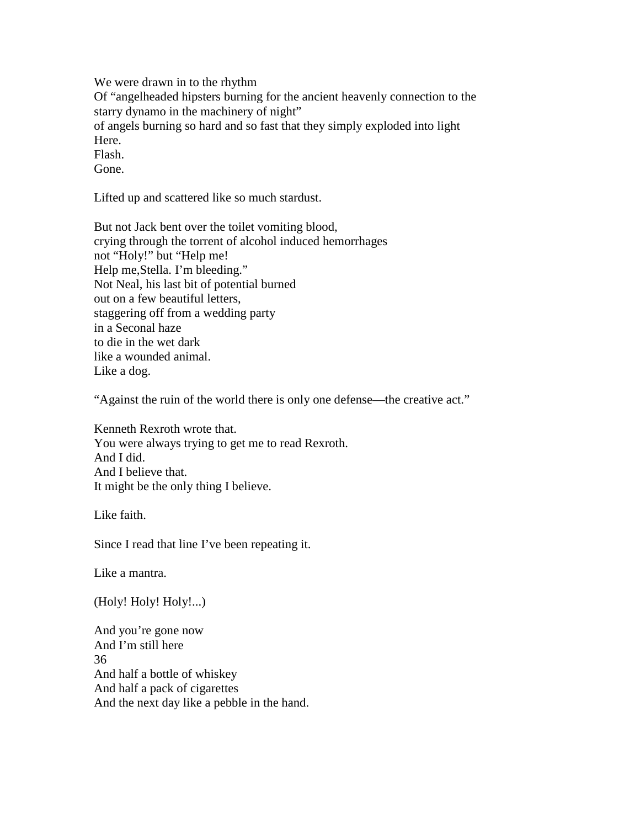We were drawn in to the rhythm

Of "angelheaded hipsters burning for the ancient heavenly connection to the starry dynamo in the machinery of night"

of angels burning so hard and so fast that they simply exploded into light Here.

Flash.

Gone.

Lifted up and scattered like so much stardust.

But not Jack bent over the toilet vomiting blood, crying through the torrent of alcohol induced hemorrhages not "Holy!" but "Help me! Help me,Stella. I'm bleeding." Not Neal, his last bit of potential burned out on a few beautiful letters, staggering off from a wedding party in a Seconal haze to die in the wet dark like a wounded animal. Like a dog.

"Against the ruin of the world there is only one defense—the creative act."

Kenneth Rexroth wrote that. You were always trying to get me to read Rexroth. And I did. And I believe that. It might be the only thing I believe.

Like faith.

Since I read that line I've been repeating it.

Like a mantra.

(Holy! Holy! Holy!...)

And you're gone now And I'm still here 36 And half a bottle of whiskey And half a pack of cigarettes And the next day like a pebble in the hand.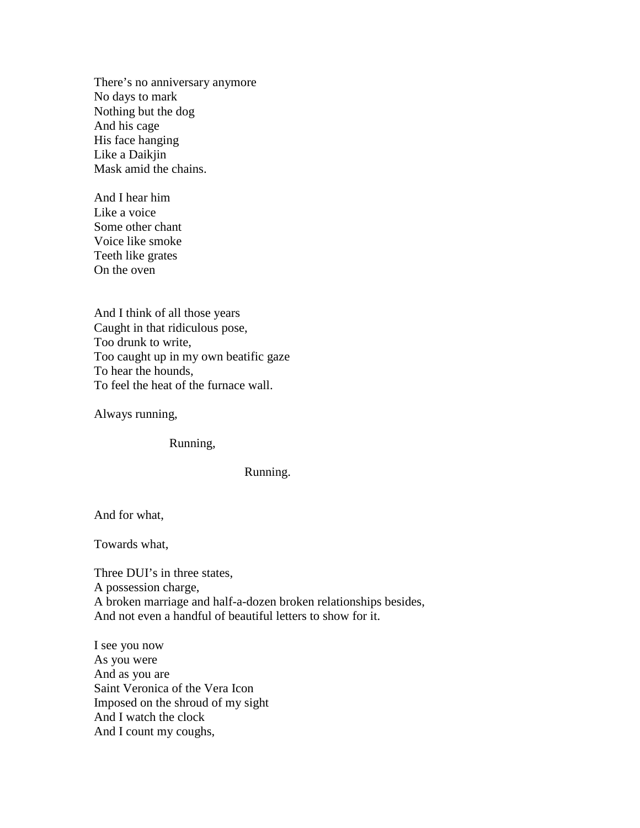There's no anniversary anymore No days to mark Nothing but the dog And his cage His face hanging Like a Daikjin Mask amid the chains.

And I hear him Like a voice Some other chant Voice like smoke Teeth like grates On the oven

And I think of all those years Caught in that ridiculous pose, Too drunk to write, Too caught up in my own beatific gaze To hear the hounds, To feel the heat of the furnace wall.

Always running,

Running,

Running.

And for what,

Towards what,

Three DUI's in three states, A possession charge, A broken marriage and half-a-dozen broken relationships besides, And not even a handful of beautiful letters to show for it.

I see you now As you were And as you are Saint Veronica of the Vera Icon Imposed on the shroud of my sight And I watch the clock And I count my coughs,